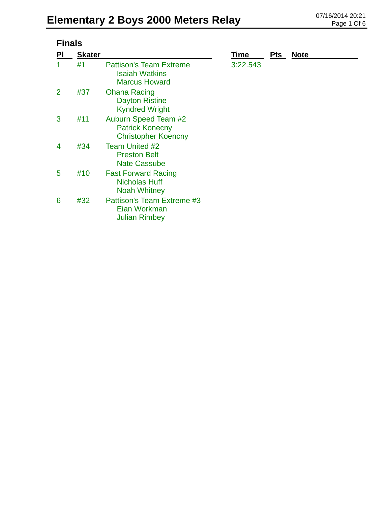| <b>Finals</b>  |               |                                                                                 |          |            |             |  |
|----------------|---------------|---------------------------------------------------------------------------------|----------|------------|-------------|--|
| <b>PI</b>      | <b>Skater</b> |                                                                                 | Time     | <b>Pts</b> | <b>Note</b> |  |
| 1              | #1            | <b>Pattison's Team Extreme</b><br><b>Isaiah Watkins</b><br><b>Marcus Howard</b> | 3:22.543 |            |             |  |
| $\overline{2}$ | #37           | <b>Ohana Racing</b><br><b>Dayton Ristine</b><br><b>Kyndred Wright</b>           |          |            |             |  |
| 3              | #11           | Auburn Speed Team #2<br><b>Patrick Konecny</b><br><b>Christopher Koencny</b>    |          |            |             |  |
| 4              | #34           | Team United #2<br><b>Preston Belt</b><br><b>Nate Cassube</b>                    |          |            |             |  |
| 5              | #10           | <b>Fast Forward Racing</b><br><b>Nicholas Huff</b><br><b>Noah Whitney</b>       |          |            |             |  |
| 6              | #32           | Pattison's Team Extreme #3<br>Eian Workman<br><b>Julian Rimbey</b>              |          |            |             |  |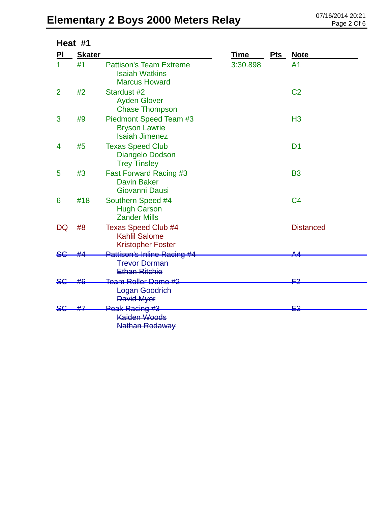# Elementary 2 Boys 2000 Meters Relay **DELEMENTER 2014 20:21** Page 2 Of 6

| Heat #1        |               |                                                                                 |          |            |                  |  |
|----------------|---------------|---------------------------------------------------------------------------------|----------|------------|------------------|--|
| PI             | <b>Skater</b> |                                                                                 | Time     | <b>Pts</b> | <b>Note</b>      |  |
| 1              | #1            | <b>Pattison's Team Extreme</b><br><b>Isaiah Watkins</b><br><b>Marcus Howard</b> | 3:30.898 |            | A <sub>1</sub>   |  |
| $\overline{2}$ | #2            | Stardust #2<br><b>Ayden Glover</b><br><b>Chase Thompson</b>                     |          |            | C <sub>2</sub>   |  |
| 3              | #9            | Piedmont Speed Team #3<br><b>Bryson Lawrie</b><br><b>Isaiah Jimenez</b>         |          |            | H <sub>3</sub>   |  |
| 4              | #5            | <b>Texas Speed Club</b><br>Diangelo Dodson<br><b>Trey Tinsley</b>               |          |            | D <sub>1</sub>   |  |
| 5              | #3            | <b>Fast Forward Racing #3</b><br><b>Davin Baker</b><br>Giovanni Dausi           |          |            | <b>B3</b>        |  |
| 6              | #18           | Southern Speed #4<br><b>Hugh Carson</b><br><b>Zander Mills</b>                  |          |            | C <sub>4</sub>   |  |
| <b>DQ</b>      | #8            | <b>Texas Speed Club #4</b><br><b>Kahlil Salome</b><br><b>Kristopher Foster</b>  |          |            | <b>Distanced</b> |  |
|                |               | Pattison's Inline Racing #4<br><b>Trevor Dorman</b><br><b>Ethan Ritchie</b>     |          |            |                  |  |
| <del>S€</del>  |               | <b>Team Roller Dome #2</b><br>Logan Goodrich<br><b>David Myer</b>               |          |            | <u>مب</u>        |  |
|                |               | Peak Racing #3<br><b>Kaiden Woods</b><br>Nathan Rodaway                         |          |            | ⊑3               |  |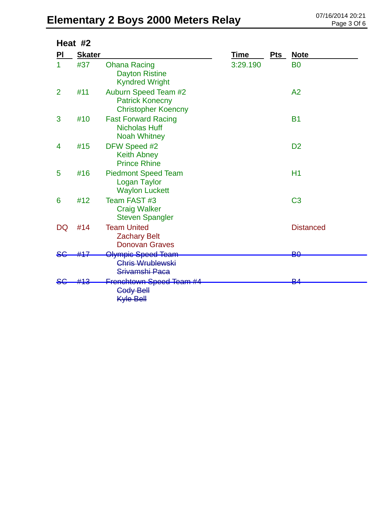# Elementary 2 Boys 2000 Meters Relay **DELEMENTER 2014 20:21** Page 3 Of 6

|                | Heat #2       |                                                                              |          |     |                  |
|----------------|---------------|------------------------------------------------------------------------------|----------|-----|------------------|
| PI             | <b>Skater</b> |                                                                              | Time     | Pts | <b>Note</b>      |
| 1              | #37           | <b>Ohana Racing</b><br><b>Dayton Ristine</b><br><b>Kyndred Wright</b>        | 3:29.190 |     | <b>B0</b>        |
| $\overline{2}$ | #11           | Auburn Speed Team #2<br><b>Patrick Konecny</b><br><b>Christopher Koencny</b> |          |     | A <sub>2</sub>   |
| 3              | #10           | <b>Fast Forward Racing</b><br><b>Nicholas Huff</b><br><b>Noah Whitney</b>    |          |     | <b>B1</b>        |
| 4              | #15           | DFW Speed #2<br><b>Keith Abney</b><br><b>Prince Rhine</b>                    |          |     | D <sub>2</sub>   |
| 5              | #16           | <b>Piedmont Speed Team</b><br><b>Logan Taylor</b><br><b>Waylon Luckett</b>   |          |     | H1               |
| 6              | #12           | Team FAST #3<br><b>Craig Walker</b><br><b>Steven Spangler</b>                |          |     | C <sub>3</sub>   |
| DQ             | #14           | <b>Team United</b><br><b>Zachary Belt</b><br><b>Donovan Graves</b>           |          |     | <b>Distanced</b> |
| <del>S€</del>  |               | <del>Olympic Speed Team</del>                                                |          |     | BO               |
|                |               | <b>Chris Wrublewski</b><br>Srivamshi Paca                                    |          |     |                  |
|                |               | Frenchtown Speed Team #4<br><b>Cody Bell</b><br><b>Kyle Bell</b>             |          |     | ₽4               |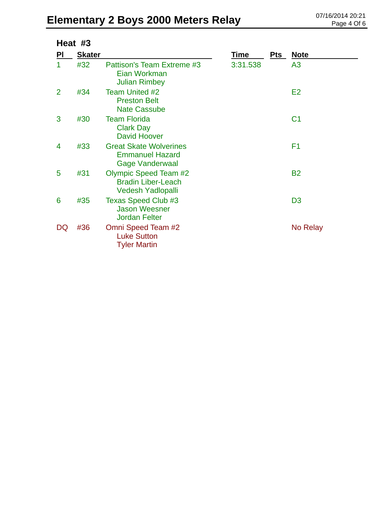# Elementary 2 Boys 2000 Meters Relay **DELEMENTER 2014 20:21** Page 4 Of 6

| Heat #3   |               |                                                                                       |          |     |                |  |
|-----------|---------------|---------------------------------------------------------------------------------------|----------|-----|----------------|--|
| <u>PI</u> | <b>Skater</b> |                                                                                       | Time     | Pts | <u>Note</u>    |  |
| 1         | #32           | Pattison's Team Extreme #3<br>Eian Workman<br><b>Julian Rimbey</b>                    | 3:31.538 |     | A <sub>3</sub> |  |
| 2         | #34           | <b>Team United #2</b><br><b>Preston Belt</b><br><b>Nate Cassube</b>                   |          |     | E2             |  |
| 3         | #30           | <b>Team Florida</b><br><b>Clark Day</b><br><b>David Hoover</b>                        |          |     | C <sub>1</sub> |  |
| 4         | #33           | <b>Great Skate Wolverines</b><br><b>Emmanuel Hazard</b><br><b>Gage Vanderwaal</b>     |          |     | F <sub>1</sub> |  |
| 5         | #31           | <b>Olympic Speed Team #2</b><br><b>Bradin Liber-Leach</b><br><b>Vedesh Yadlopalli</b> |          |     | <b>B2</b>      |  |
| 6         | #35           | Texas Speed Club #3<br><b>Jason Weesner</b><br><b>Jordan Felter</b>                   |          |     | D <sub>3</sub> |  |
| DQ        | #36           | Omni Speed Team #2<br><b>Luke Sutton</b><br><b>Tyler Martin</b>                       |          |     | No Relay       |  |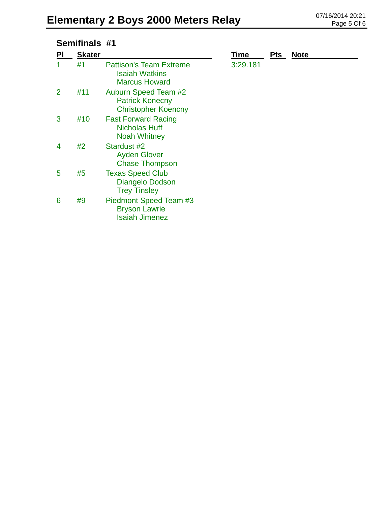## **Semifinals #1**

| PI             | <b>Skater</b> |                                                                                 | Time     | <b>Pts</b> | <b>Note</b> |
|----------------|---------------|---------------------------------------------------------------------------------|----------|------------|-------------|
|                | #1            | <b>Pattison's Team Extreme</b><br><b>Isaiah Watkins</b><br><b>Marcus Howard</b> | 3:29.181 |            |             |
| $\overline{2}$ | #11           | Auburn Speed Team #2<br><b>Patrick Konecny</b><br><b>Christopher Koencny</b>    |          |            |             |
| 3              | #10           | <b>Fast Forward Racing</b><br><b>Nicholas Huff</b><br><b>Noah Whitney</b>       |          |            |             |
| 4              | #2            | Stardust #2<br><b>Ayden Glover</b><br><b>Chase Thompson</b>                     |          |            |             |
| 5              | #5            | <b>Texas Speed Club</b><br>Diangelo Dodson<br><b>Trey Tinsley</b>               |          |            |             |
| 6              | #9            | Piedmont Speed Team #3<br><b>Bryson Lawrie</b><br><b>Isaiah Jimenez</b>         |          |            |             |